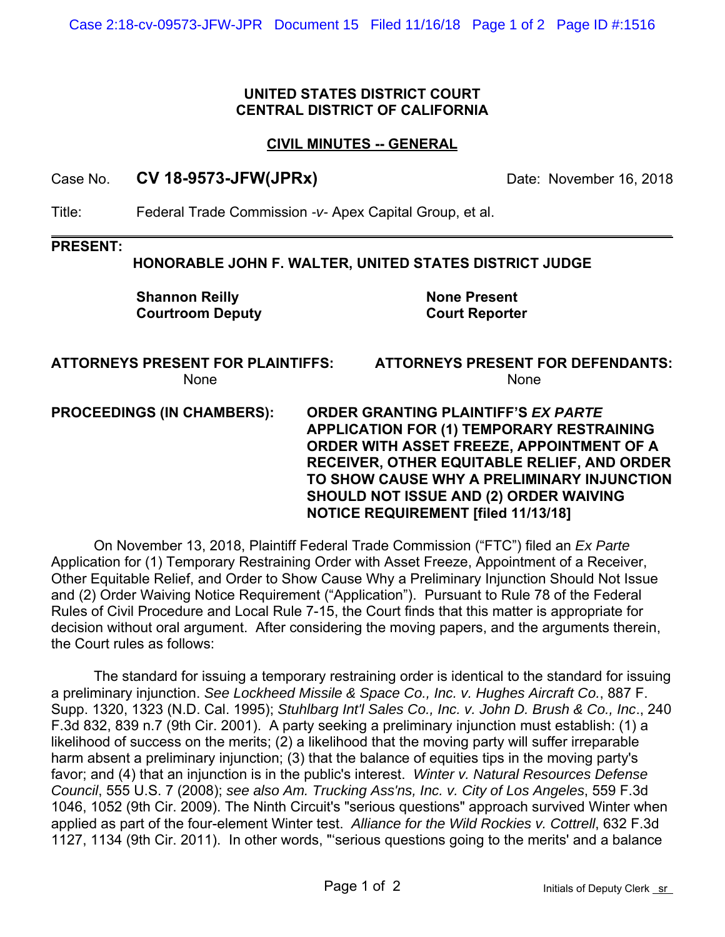# **UNITED STATES DISTRICT COURT CENTRAL DISTRICT OF CALIFORNIA**

# **CIVIL MINUTES -- GENERAL**

Case No. **CV 18-9573-JFW(JPRx)** Date: November 16, 2018

Title: Federal Trade Commission *-v-* Apex Capital Group, et al.

#### **PRESENT:**

## **HONORABLE JOHN F. WALTER, UNITED STATES DISTRICT JUDGE**

 **Shannon Reilly None Present Courtroom Deputy Court Reporter**

## **ATTORNEYS PRESENT FOR PLAINTIFFS: ATTORNEYS PRESENT FOR DEFENDANTS:** None None

**PROCEEDINGS (IN CHAMBERS): ORDER GRANTING PLAINTIFF'S** *EX PARTE*  **APPLICATION FOR (1) TEMPORARY RESTRAINING ORDER WITH ASSET FREEZE, APPOINTMENT OF A RECEIVER, OTHER EQUITABLE RELIEF, AND ORDER TO SHOW CAUSE WHY A PRELIMINARY INJUNCTION SHOULD NOT ISSUE AND (2) ORDER WAIVING NOTICE REQUIREMENT [filed 11/13/18]**

On November 13, 2018, Plaintiff Federal Trade Commission ("FTC") filed an *Ex Parte*  Application for (1) Temporary Restraining Order with Asset Freeze, Appointment of a Receiver, Other Equitable Relief, and Order to Show Cause Why a Preliminary Injunction Should Not Issue and (2) Order Waiving Notice Requirement ("Application"). Pursuant to Rule 78 of the Federal Rules of Civil Procedure and Local Rule 7-15, the Court finds that this matter is appropriate for decision without oral argument. After considering the moving papers, and the arguments therein, the Court rules as follows:

The standard for issuing a temporary restraining order is identical to the standard for issuing a preliminary injunction. *See Lockheed Missile & Space Co., Inc. v. Hughes Aircraft Co.*, 887 F. Supp. 1320, 1323 (N.D. Cal. 1995); *Stuhlbarg Int'l Sales Co., Inc. v. John D. Brush & Co., Inc*., 240 F.3d 832, 839 n.7 (9th Cir. 2001). A party seeking a preliminary injunction must establish: (1) a likelihood of success on the merits; (2) a likelihood that the moving party will suffer irreparable harm absent a preliminary injunction; (3) that the balance of equities tips in the moving party's favor; and (4) that an injunction is in the public's interest. *Winter v. Natural Resources Defense Council*, 555 U.S. 7 (2008); *see also Am. Trucking Ass'ns, Inc. v. City of Los Angeles*, 559 F.3d 1046, 1052 (9th Cir. 2009). The Ninth Circuit's "serious questions" approach survived Winter when applied as part of the four-element Winter test. *Alliance for the Wild Rockies v. Cottrell*, 632 F.3d 1127, 1134 (9th Cir. 2011). In other words, "'serious questions going to the merits' and a balance